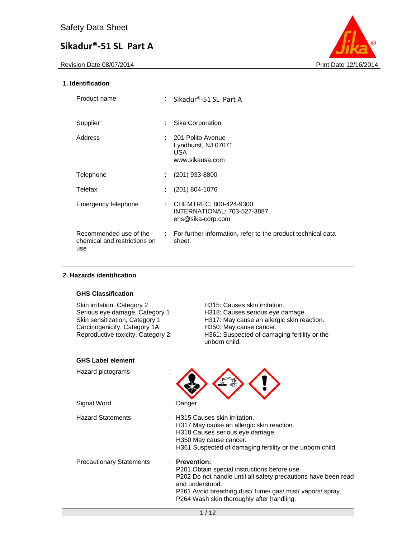Revision Date 08/07/2014 **Print Date 12/16/2014** 



#### **1. Identification**

| Product name                                                  |    | : Sikadur®-51 SL Part A                                                             |
|---------------------------------------------------------------|----|-------------------------------------------------------------------------------------|
| Supplier                                                      | ÷  | Sika Corporation                                                                    |
| Address                                                       | ÷. | 201 Polito Avenue<br>Lyndhurst, NJ 07071<br>USA.<br>www.sikausa.com                 |
| Telephone                                                     | ÷  | $(201)$ 933-8800                                                                    |
| Telefax                                                       |    | $(201)$ 804-1076                                                                    |
| Emergency telephone                                           |    | : CHEMTREC: 800-424-9300<br><b>INTERNATIONAL: 703-527-3887</b><br>ehs@sika-corp.com |
| Recommended use of the<br>chemical and restrictions on<br>use |    | : For further information, refer to the product technical data<br>sheet.            |

## **2. Hazards identification**

#### **GHS Classification**

| Skin irritation, Category 2<br>Serious eye damage, Category 1<br>Skin sensitization, Category 1<br>Carcinogenicity, Category 1A<br>Reproductive toxicity, Category 2 | H315: Causes skin irritation.<br>H318: Causes serious eye damage.<br>H317: May cause an allergic skin reaction.<br>H350: May cause cancer.<br>H361: Suspected of damaging fertility or the<br>unborn child.                                              |
|----------------------------------------------------------------------------------------------------------------------------------------------------------------------|----------------------------------------------------------------------------------------------------------------------------------------------------------------------------------------------------------------------------------------------------------|
| <b>GHS Label element</b>                                                                                                                                             |                                                                                                                                                                                                                                                          |
| Hazard pictograms                                                                                                                                                    |                                                                                                                                                                                                                                                          |
| Signal Word                                                                                                                                                          | Danger                                                                                                                                                                                                                                                   |
| <b>Hazard Statements</b>                                                                                                                                             | : H315 Causes skin irritation.<br>H317 May cause an allergic skin reaction.<br>H318 Causes serious eye damage.<br>H350 May cause cancer.<br>H361 Suspected of damaging fertility or the unborn child.                                                    |
| <b>Precautionary Statements</b>                                                                                                                                      | : Prevention:<br>P201 Obtain special instructions before use.<br>P202 Do not handle until all safety precautions have been read<br>and understood.<br>P261 Avoid breathing dust/fume/gas/mist/vapors/spray.<br>P264 Wash skin thoroughly after handling. |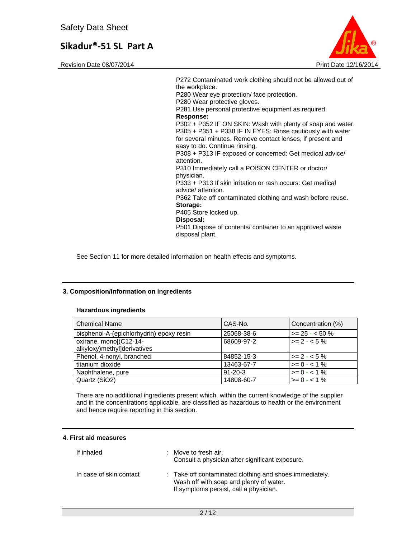Revision Date 08/07/2014 **Print Date 12/16/2014** Print Date 12/16/2014



P272 Contaminated work clothing should not be allowed out of the workplace. P280 Wear eye protection/ face protection. P280 Wear protective gloves. P281 Use personal protective equipment as required. **Response:**  P302 + P352 IF ON SKIN: Wash with plenty of soap and water. P305 + P351 + P338 IF IN EYES: Rinse cautiously with water for several minutes. Remove contact lenses, if present and easy to do. Continue rinsing. P308 + P313 IF exposed or concerned: Get medical advice/ attention. P310 Immediately call a POISON CENTER or doctor/ physician. P333 + P313 If skin irritation or rash occurs: Get medical advice/ attention. P362 Take off contaminated clothing and wash before reuse. **Storage:**  P405 Store locked up. **Disposal:**  P501 Dispose of contents/ container to an approved waste disposal plant.

See Section 11 for more detailed information on health effects and symptoms.

#### **3. Composition/information on ingredients**

#### **Hazardous ingredients**

| l Chemical Name                          | CAS-No.       | Concentration (%) |
|------------------------------------------|---------------|-------------------|
| bisphenol-A-(epichlorhydrin) epoxy resin | 25068-38-6    | $>= 25 - 50 \%$   |
| oxirane, mono[(C12-14-                   | 68609-97-2    | $>= 2 - 5\%$      |
| alkyloxy)methyl]derivatives              |               |                   |
| Phenol, 4-nonyl, branched                | 84852-15-3    | $>= 2 - 5\%$      |
| titanium dioxide                         | 13463-67-7    | $>= 0 - 1\%$      |
| Naphthalene, pure                        | $91 - 20 - 3$ | $>= 0 - 1\%$      |
| Quartz (SiO2)                            | 14808-60-7    | $>= 0 - 1\%$      |

There are no additional ingredients present which, within the current knowledge of the supplier and in the concentrations applicable, are classified as hazardous to health or the environment and hence require reporting in this section.

#### **4. First aid measures**

| If inhaled              | : Move to fresh air.<br>Consult a physician after significant exposure.                                                                      |
|-------------------------|----------------------------------------------------------------------------------------------------------------------------------------------|
| In case of skin contact | : Take off contaminated clothing and shoes immediately.<br>Wash off with soap and plenty of water.<br>If symptoms persist, call a physician. |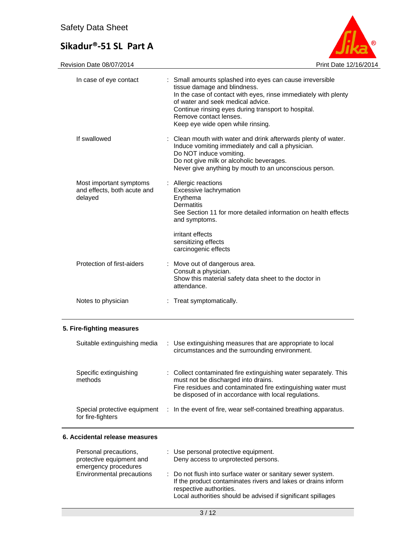

Revision Date 08/07/2014 **Print Date 12/16/2014** 

| In case of eye contact                                            |    | : Small amounts splashed into eyes can cause irreversible<br>tissue damage and blindness.<br>In the case of contact with eyes, rinse immediately with plenty<br>of water and seek medical advice.<br>Continue rinsing eyes during transport to hospital.<br>Remove contact lenses.<br>Keep eye wide open while rinsing. |
|-------------------------------------------------------------------|----|-------------------------------------------------------------------------------------------------------------------------------------------------------------------------------------------------------------------------------------------------------------------------------------------------------------------------|
| If swallowed                                                      |    | Clean mouth with water and drink afterwards plenty of water.<br>Induce vomiting immediately and call a physician.<br>Do NOT induce vomiting.<br>Do not give milk or alcoholic beverages.<br>Never give anything by mouth to an unconscious person.                                                                      |
| Most important symptoms<br>and effects, both acute and<br>delayed |    | : Allergic reactions<br>Excessive lachrymation<br>Erythema<br>Dermatitis<br>See Section 11 for more detailed information on health effects<br>and symptoms.                                                                                                                                                             |
|                                                                   |    | irritant effects<br>sensitizing effects<br>carcinogenic effects                                                                                                                                                                                                                                                         |
| Protection of first-aiders                                        |    | : Move out of dangerous area.<br>Consult a physician.<br>Show this material safety data sheet to the doctor in<br>attendance.                                                                                                                                                                                           |
| Notes to physician                                                | ÷. | Treat symptomatically.                                                                                                                                                                                                                                                                                                  |
| 5. Fire-fighting measures                                         |    |                                                                                                                                                                                                                                                                                                                         |
| Suitable extinguishing media                                      |    | : Use extinguishing measures that are appropriate to local<br>circumstances and the surrounding environment.                                                                                                                                                                                                            |
| Specific extinguishing<br>methods                                 |    | : Collect contaminated fire extinguishing water separately. This<br>must not be discharged into drains.<br>Fire residues and contaminated fire extinguishing water must<br>be disposed of in accordance with local regulations.                                                                                         |

Special protective equipment : In the event of fire, wear self-contained breathing apparatus. for fire-fighters

#### **6. Accidental release measures**

 $\overline{\phantom{0}}$ 

| Personal precautions,            | : Use personal protective equipment.                                                                                                                    |
|----------------------------------|---------------------------------------------------------------------------------------------------------------------------------------------------------|
| protective equipment and         | Deny access to unprotected persons.                                                                                                                     |
| emergency procedures             |                                                                                                                                                         |
| <b>Environmental precautions</b> | : Do not flush into surface water or sanitary sewer system.<br>If the product contaminates rivers and lakes or drains inform<br>respective authorities. |
|                                  | Local authorities should be advised if significant spillages                                                                                            |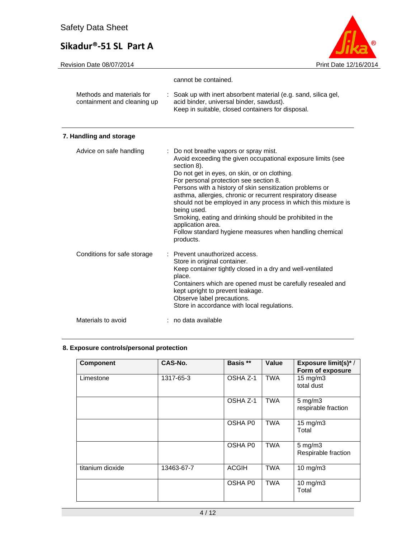Revision Date 08/07/2014 **Print Date 12/16/2014** 



|                                                          | cannot be contained.                                                                                                                                                                                                                                                                                                                                                                                                                                                                                        |
|----------------------------------------------------------|-------------------------------------------------------------------------------------------------------------------------------------------------------------------------------------------------------------------------------------------------------------------------------------------------------------------------------------------------------------------------------------------------------------------------------------------------------------------------------------------------------------|
| Methods and materials for<br>containment and cleaning up | : Soak up with inert absorbent material (e.g. sand, silica gel,<br>acid binder, universal binder, sawdust).<br>Keep in suitable, closed containers for disposal.                                                                                                                                                                                                                                                                                                                                            |
| 7. Handling and storage                                  |                                                                                                                                                                                                                                                                                                                                                                                                                                                                                                             |
| Advice on safe handling                                  | : Do not breathe vapors or spray mist.<br>Avoid exceeding the given occupational exposure limits (see<br>section 8).<br>Do not get in eyes, on skin, or on clothing.<br>For personal protection see section 8.<br>Persons with a history of skin sensitization problems or<br>asthma, allergies, chronic or recurrent respiratory disease<br>should not be employed in any process in which this mixture is<br>being used.<br>Smoking, eating and drinking should be prohibited in the<br>application area. |

Store in original container.

kept upright to prevent leakage. Observe label precautions.

Store in accordance with local regulations.

products.

place.

Conditions for safe storage : Prevent unauthorized access.

Follow standard hygiene measures when handling chemical

Keep container tightly closed in a dry and well-ventilated

Containers which are opened must be carefully resealed and

Materials to avoid : no data available

#### **8. Exposure controls/personal protection**

| <b>Component</b> | CAS-No.    | Basis **     | Value      | <b>Exposure limit(s)*/</b><br>Form of exposure |
|------------------|------------|--------------|------------|------------------------------------------------|
| Limestone        | 1317-65-3  | OSHA Z-1     | <b>TWA</b> | 15 mg/m3<br>total dust                         |
|                  |            | OSHA Z-1     | <b>TWA</b> | $5 \text{ mg/m}$ 3<br>respirable fraction      |
|                  |            | OSHA P0      | <b>TWA</b> | 15 mg/m3<br>Total                              |
|                  |            | OSHA P0      | <b>TWA</b> | $5$ mg/m $3$<br>Respirable fraction            |
| titanium dioxide | 13463-67-7 | <b>ACGIH</b> | <b>TWA</b> | $10$ mg/m $3$                                  |
|                  |            | OSHA P0      | <b>TWA</b> | $10$ mg/m $3$<br>Total                         |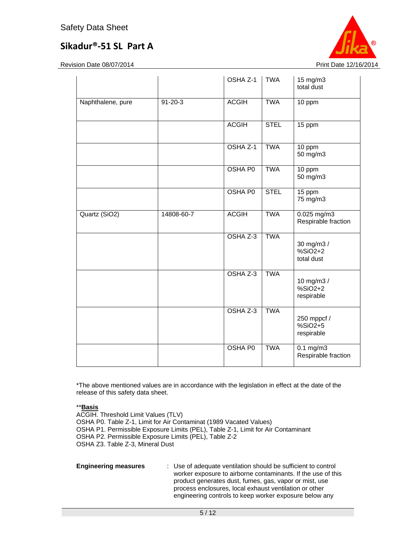Revision Date 08/07/2014 **Print Date 12/16/2014** Print Date 12/16/2014



|                   |               | OSHA Z-1       | <b>TWA</b>  | 15 mg/m3<br>total dust                 |
|-------------------|---------------|----------------|-------------|----------------------------------------|
| Naphthalene, pure | $91 - 20 - 3$ | <b>ACGIH</b>   | <b>TWA</b>  | 10 ppm                                 |
|                   |               | <b>ACGIH</b>   | <b>STEL</b> | 15 ppm                                 |
|                   |               | OSHA Z-1       | <b>TWA</b>  | 10 ppm<br>50 mg/m3                     |
|                   |               | OSHA P0        | <b>TWA</b>  | 10 ppm<br>50 mg/m3                     |
|                   |               | <b>OSHA PO</b> | <b>STEL</b> | $15$ ppm<br>75 mg/m3                   |
| Quartz (SiO2)     | 14808-60-7    | <b>ACGIH</b>   | <b>TWA</b>  | $0.025$ mg/m3<br>Respirable fraction   |
|                   |               | OSHA Z-3       | <b>TWA</b>  | 30 mg/m3 /<br>$%SiO2+2$<br>total dust  |
|                   |               | OSHA Z-3       | <b>TWA</b>  | 10 mg/m3 /<br>$%SiO2+2$<br>respirable  |
|                   |               | OSHA Z-3       | <b>TWA</b>  | 250 mppcf /<br>$%SiO2+5$<br>respirable |
|                   |               | <b>OSHA P0</b> | <b>TWA</b>  | $0.1$ mg/m3<br>Respirable fraction     |

\*The above mentioned values are in accordance with the legislation in effect at the date of the release of this safety data sheet.

#### \*\***Basis**

ACGIH. Threshold Limit Values (TLV) OSHA P0. Table Z-1, Limit for Air Contaminat (1989 Vacated Values) OSHA P1. Permissible Exposure Limits (PEL), Table Z-1, Limit for Air Contaminant OSHA P2. Permissible Exposure Limits (PEL), Table Z-2 OSHA Z3. Table Z-3, Mineral Dust

**Engineering measures** : Use of adequate ventilation should be sufficient to control worker exposure to airborne contaminants. If the use of this product generates dust, fumes, gas, vapor or mist, use process enclosures, local exhaust ventilation or other engineering controls to keep worker exposure below any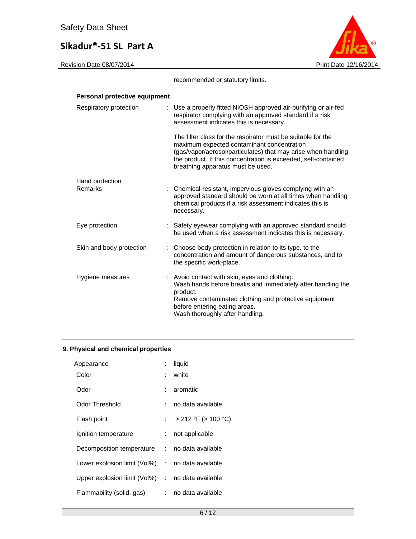

recommended or statutory limits.

| Personal protective equipment |                                                                                                                                                                                                                                                                                    |
|-------------------------------|------------------------------------------------------------------------------------------------------------------------------------------------------------------------------------------------------------------------------------------------------------------------------------|
| Respiratory protection        | : Use a properly fitted NIOSH approved air-purifying or air-fed<br>respirator complying with an approved standard if a risk<br>assessment indicates this is necessary.                                                                                                             |
|                               | The filter class for the respirator must be suitable for the<br>maximum expected contaminant concentration<br>(gas/vapor/aerosol/particulates) that may arise when handling<br>the product. If this concentration is exceeded, self-contained<br>breathing apparatus must be used. |
| Hand protection<br>Remarks    | : Chemical-resistant, impervious gloves complying with an<br>approved standard should be worn at all times when handling<br>chemical products if a risk assessment indicates this is<br>necessary.                                                                                 |
| Eye protection                | : Safety eyewear complying with an approved standard should<br>be used when a risk assessment indicates this is necessary.                                                                                                                                                         |
| Skin and body protection      | : Choose body protection in relation to its type, to the<br>concentration and amount of dangerous substances, and to<br>the specific work-place.                                                                                                                                   |
| Hygiene measures              | : Avoid contact with skin, eyes and clothing.<br>Wash hands before breaks and immediately after handling the<br>product.<br>Remove contaminated clothing and protective equipment<br>before entering eating areas.<br>Wash thoroughly after handling.                              |

## **9. Physical and chemical properties**

| Appearance                                       | ÷.   | liquid                   |
|--------------------------------------------------|------|--------------------------|
| Color                                            | t.   | white                    |
| Odor                                             | t i  | aromatic                 |
| Odor Threshold                                   | ۰.,  | no data available        |
| Flash point                                      | t in | $>$ 212 °F ( $>$ 100 °C) |
| Ignition temperature                             | t.   | not applicable           |
| Decomposition temperature : no data available    |      |                          |
| Lower explosion limit (Vol%) : no data available |      |                          |
| Upper explosion limit (Vol%) : no data available |      |                          |
| Flammability (solid, gas)                        | t i  | no data available        |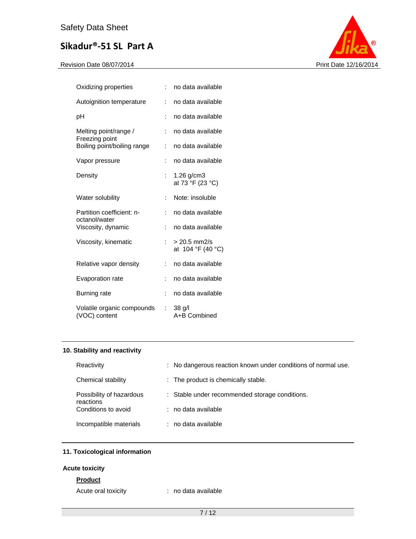

| Oxidizing properties                          | Ì.                   | no data available                   |
|-----------------------------------------------|----------------------|-------------------------------------|
| Autoignition temperature                      | $\ddot{\phantom{a}}$ | no data available                   |
| рH                                            |                      | no data available                   |
| Melting point/range /                         | t                    | no data available                   |
| Freezing point<br>Boiling point/boiling range | ÷                    | no data available                   |
| Vapor pressure                                | ÷                    | no data available                   |
| Density                                       | $\ddot{\phantom{a}}$ | $1.26$ g/cm $3$<br>at 73 °F (23 °C) |
| Water solubility                              | ÷                    | Note: insoluble                     |
| Partition coefficient: n-<br>octanol/water    | t                    | no data available                   |
| Viscosity, dynamic                            | $\ddot{\phantom{a}}$ | no data available                   |
| Viscosity, kinematic                          |                      | $> 20.5$ mm2/s<br>at 104 °F (40 °C) |
| Relative vapor density                        |                      | no data available                   |
| Evaporation rate                              | ÷                    | no data available                   |
| Burning rate                                  | t                    | no data available                   |
| Volatile organic compounds<br>(VOC) content   | t.                   | $38$ $q/l$<br>A+B Combined          |

#### **10. Stability and reactivity**

| Reactivity                            | : No dangerous reaction known under conditions of normal use. |
|---------------------------------------|---------------------------------------------------------------|
| Chemical stability                    | : The product is chemically stable.                           |
| Possibility of hazardous<br>reactions | : Stable under recommended storage conditions.                |
| Conditions to avoid                   | : no data available                                           |
| Incompatible materials                | : no data available                                           |

## **11. Toxicological information**

## **Acute toxicity**

## **Product**

Acute oral toxicity **interest and the CO**: no data available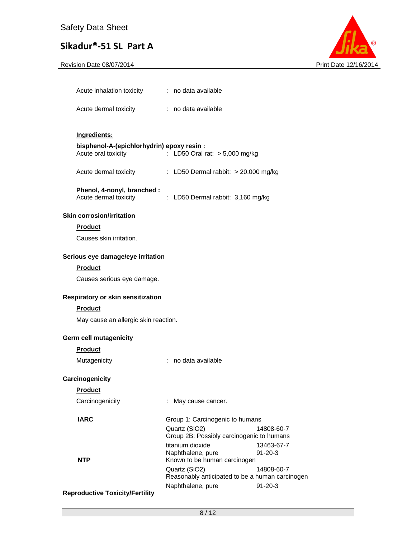Revision Date 08/07/2014 **Print Date 12/16/2014** 



| Acute inhalation toxicity | : no data available |  |
|---------------------------|---------------------|--|
| Acute dermal toxicity     | : no data available |  |

#### **Ingredients:**

#### **bisphenol-A-(epichlorhydrin) epoxy resin :**

| Acute oral toxicity |  | : LD50 Oral rat: $> 5,000$ mg/kg |  |  |
|---------------------|--|----------------------------------|--|--|
|---------------------|--|----------------------------------|--|--|

Acute dermal toxicity : LD50 Dermal rabbit: > 20,000 mg/kg

## **Phenol, 4-nonyl, branched :**

| Acute dermal toxicity | : LD50 Dermal rabbit: 3,160 mg/kg |  |
|-----------------------|-----------------------------------|--|

#### **Skin corrosion/irritation**

#### **Product**

Causes skin irritation.

#### **Serious eye damage/eye irritation**

#### **Product**

Causes serious eye damage.

## **Respiratory or skin sensitization**

#### **Product**

May cause an allergic skin reaction.

#### **Germ cell mutagenicity**

#### **Product**

| Mutagenicity | no data available |
|--------------|-------------------|
|--------------|-------------------|

#### **Carcinogenicity**

## **Product**

| ı ıvuucu        |                                                            |                                                 |
|-----------------|------------------------------------------------------------|-------------------------------------------------|
| Carcinogenicity | : May cause cancer.                                        |                                                 |
| <b>IARC</b>     | Group 1: Carcinogenic to humans                            |                                                 |
|                 | Quartz (SiO2)<br>Group 2B: Possibly carcinogenic to humans | 14808-60-7                                      |
|                 | titanium dioxide                                           | 13463-67-7                                      |
|                 | Naphthalene, pure                                          | $91 - 20 - 3$                                   |
| <b>NTP</b>      | Known to be human carcinogen                               |                                                 |
|                 | Quartz (SiO2)                                              | 14808-60-7                                      |
|                 |                                                            | Reasonably anticipated to be a human carcinogen |
|                 | Naphthalene, pure                                          | $91 - 20 - 3$                                   |

#### **Reproductive Toxicity/Fertility**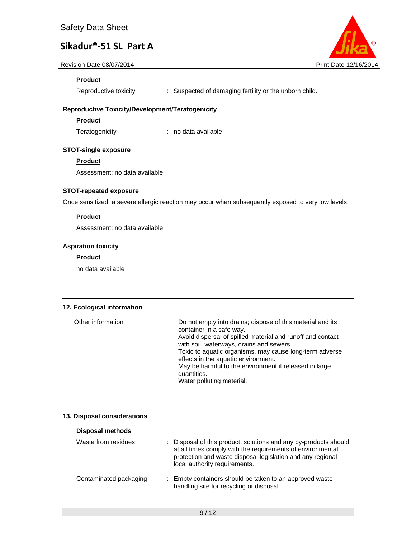Revision Date 08/07/2014 **Print Date 12/16/2014** Print Date 12/16/2014

## **Product**

Reproductive toxicity : Suspected of damaging fertility or the unborn child.

## **Reproductive Toxicity/Development/Teratogenicity**

**Product** 

Teratogenicity : no data available

#### **STOT-single exposure**

**Product** 

Assessment: no data available

#### **STOT-repeated exposure**

Once sensitized, a severe allergic reaction may occur when subsequently exposed to very low levels.

#### **Product**

Assessment: no data available

#### **Aspiration toxicity**

#### **Product**

no data available

#### **12. Ecological information**

| Other information | Do not empty into drains; dispose of this material and its<br>container in a safe way.                 |
|-------------------|--------------------------------------------------------------------------------------------------------|
|                   | Avoid dispersal of spilled material and runoff and contact<br>with soil, waterways, drains and sewers. |
|                   | Toxic to aquatic organisms, may cause long-term adverse<br>effects in the aquatic environment.         |
|                   | May be harmful to the environment if released in large<br>quantities.                                  |
|                   | Water polluting material.                                                                              |

#### **13. Disposal considerations**

| <b>Disposal methods</b> |                                                                                                                                                                                                                               |
|-------------------------|-------------------------------------------------------------------------------------------------------------------------------------------------------------------------------------------------------------------------------|
| Waste from residues     | : Disposal of this product, solutions and any by-products should<br>at all times comply with the requirements of environmental<br>protection and waste disposal legislation and any regional<br>local authority requirements. |
| Contaminated packaging  | : Empty containers should be taken to an approved waste<br>handling site for recycling or disposal.                                                                                                                           |

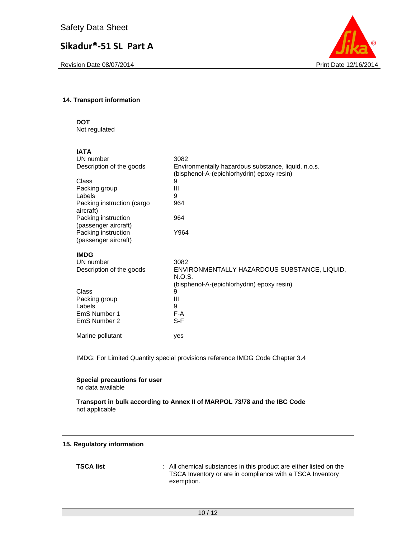Revision Date 08/07/2014 **Print Date 12/16/2014** Print Date 12/16/2014



#### **14. Transport information**

**DOT** 

Not regulated

| IATA                                        |                                                                                                   |
|---------------------------------------------|---------------------------------------------------------------------------------------------------|
| UN number                                   | 3082                                                                                              |
| Description of the goods                    | Environmentally hazardous substance, liquid, n.o.s.<br>(bisphenol-A-(epichlorhydrin) epoxy resin) |
| Class                                       | 9                                                                                                 |
| Packing group                               | Ш                                                                                                 |
| Labels                                      | 9                                                                                                 |
| Packing instruction (cargo<br>aircraft)     | 964                                                                                               |
| Packing instruction<br>(passenger aircraft) | 964                                                                                               |
| Packing instruction                         | Y964                                                                                              |
| (passenger aircraft)                        |                                                                                                   |
| <b>IMDG</b>                                 |                                                                                                   |
| UN number                                   | 3082                                                                                              |
| Description of the goods                    | ENVIRONMENTALLY HAZARDOUS SUBSTANCE, LIQUID,<br>N.O.S.                                            |
|                                             | (bisphenol-A-(epichlorhydrin) epoxy resin)                                                        |
| Class                                       | 9                                                                                                 |
| Packing group                               | Ш                                                                                                 |
| Labels                                      | 9                                                                                                 |
| EmS Number 1                                | F-A                                                                                               |
| EmS Number 2                                | $S-F$                                                                                             |
| Marine pollutant                            | yes                                                                                               |

IMDG: For Limited Quantity special provisions reference IMDG Code Chapter 3.4

**Special precautions for user** no data available

**Transport in bulk according to Annex II of MARPOL 73/78 and the IBC Code**  not applicable

#### **15. Regulatory information**

**TSCA list** : All chemical substances in this product are either listed on the TSCA Inventory or are in compliance with a TSCA Inventory exemption.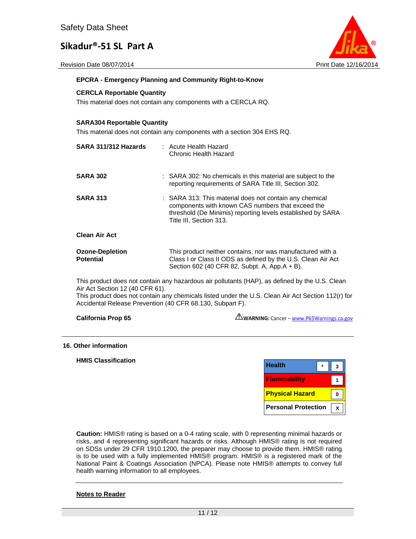Revision Date 08/07/2014 **Print Date 12/16/2014** Print Date 12/16/2014



#### **EPCRA - Emergency Planning and Community Right-to-Know**

#### **CERCLA Reportable Quantity**

This material does not contain any components with a CERCLA RQ.

#### **SARA304 Reportable Quantity**

This material does not contain any components with a section 304 EHS RQ.

| SARA 311/312 Hazards                       | : Acute Health Hazard<br>Chronic Health Hazard                                                                                                                                                         |
|--------------------------------------------|--------------------------------------------------------------------------------------------------------------------------------------------------------------------------------------------------------|
| <b>SARA 302</b>                            | : SARA 302: No chemicals in this material are subject to the<br>reporting requirements of SARA Title III, Section 302.                                                                                 |
| <b>SARA 313</b>                            | : SARA 313: This material does not contain any chemical<br>components with known CAS numbers that exceed the<br>threshold (De Minimis) reporting levels established by SARA<br>Title III, Section 313. |
| <b>Clean Air Act</b>                       |                                                                                                                                                                                                        |
| <b>Ozone-Depletion</b><br><b>Potential</b> | This product neither contains, nor was manufactured with a<br>Class I or Class II ODS as defined by the U.S. Clean Air Act<br>Section 602 (40 CFR 82, Subpt. A, App.A + B).                            |

This product does not contain any hazardous air pollutants (HAP), as defined by the U.S. Clean Air Act Section 12 (40 CFR 61).

This product does not contain any chemicals listed under the U.S. Clean Air Act Section 112(r) for Accidental Release Prevention (40 CFR 68.130, Subpart F).

**California Prop 65** 

WARNING: Cancer - www.P65Warnings.ca.gov

#### **16. Other information**

**HMIS Classification** 

| <b>Health</b>              |  |
|----------------------------|--|
| <b>Flammability</b>        |  |
| <b>Physical Hazard</b>     |  |
| <b>Personal Protection</b> |  |

**Caution:** HMIS® rating is based on a 0-4 rating scale, with 0 representing minimal hazards or risks, and 4 representing significant hazards or risks. Although HMIS® rating is not required on SDSs under 29 CFR 1910.1200, the preparer may choose to provide them. HMIS® rating is to be used with a fully implemented HMIS® program. HMIS® is a registered mark of the National Paint & Coatings Association (NPCA). Please note HMIS® attempts to convey full health warning information to all employees.

#### **Notes to Reader**